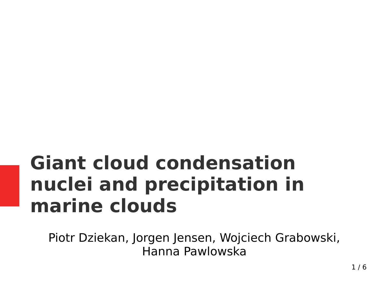#### **Giant cloud condensation nuclei and precipitation in marine clouds**

Piotr Dziekan, Jorgen Jensen, Wojciech Grabowski, Hanna Pawlowska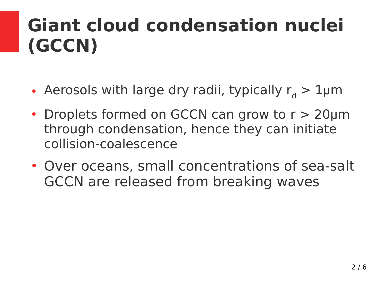#### **Giant cloud condensation nuclei (GCCN)**

- Aerosols with large dry radii, typically  $r_d > 1$ µm
- Droplets formed on GCCN can grow to  $r > 20 \mu m$ through condensation, hence they can initiate collision-coalescence
- Over oceans, small concentrations of sea-salt GCCN are released from breaking waves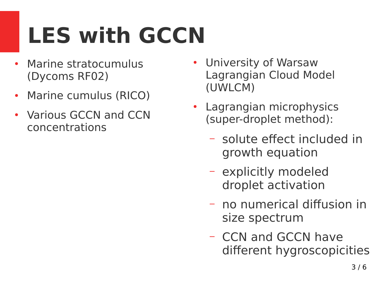# **LES with GCCN**

- Marine stratocumulus (Dycoms RF02)
- Marine cumulus (RICO)
- Various GCCN and CCN concentrations
- University of Warsaw Lagrangian Cloud Model (UWLCM)
- Lagrangian microphysics (super-droplet method):
	- solute effect included in growth equation
	- explicitly modeled droplet activation
	- no numerical diffusion in size spectrum
	- CCN and GCCN have different hygroscopicities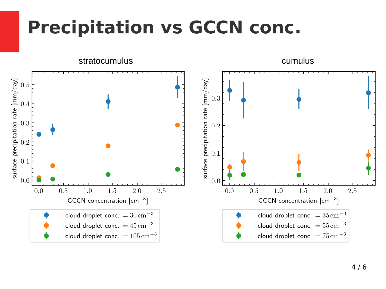#### **Precipitation vs GCCN conc.**

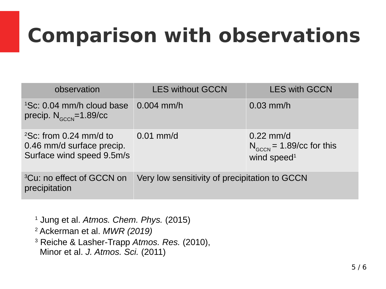### **Comparison with observations**

| observation                                                                                        | <b>LES without GCCN</b>                       | <b>LES with GCCN</b>                                                    |
|----------------------------------------------------------------------------------------------------|-----------------------------------------------|-------------------------------------------------------------------------|
| $^{1}$ Sc: 0.04 mm/h cloud base 0.004 mm/h<br>precip. $N_{GCCN} = 1.89/cc$                         |                                               | $0.03$ mm/h                                                             |
| $^{2}$ Sc: from 0.24 mm/d to $0.01$ mm/d<br>0.46 mm/d surface precip.<br>Surface wind speed 9.5m/s |                                               | $0.22$ mm/d<br>$N_{GCCN}$ = 1.89/cc for this<br>wind speed <sup>1</sup> |
| <sup>3</sup> Cu: no effect of GCCN on<br>precipitation                                             | Very low sensitivity of precipitation to GCCN |                                                                         |

 Jung et al. *Atmos. Chem. Phys.* (2015) Ackerman et al. *MWR (2019)* Reiche & Lasher-Trapp *Atmos. Res.* (2010), Minor et al. *J. Atmos. Sci.* (2011)